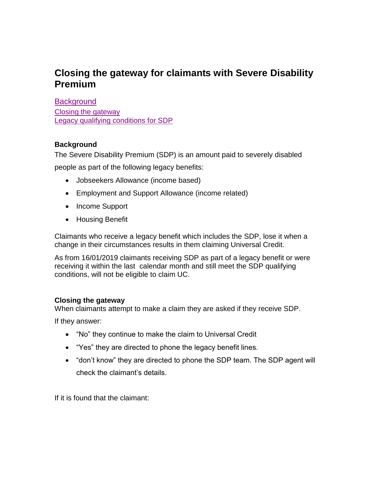## **Closing the gateway for claimants with Severe Disability Premium**

<span id="page-0-2"></span>**[Background](#page-0-0)** 

[Closing the gateway](#page-0-1) [Legacy qualifying conditions for SDP](#page-1-0)

## <span id="page-0-0"></span>**Background**

The Severe Disability Premium (SDP) is an amount paid to severely disabled people as part of the following legacy benefits:

- Jobseekers Allowance (income based)
- Employment and Support Allowance (income related)
- Income Support
- Housing Benefit

Claimants who receive a legacy benefit which includes the SDP, lose it when a change in their circumstances results in them claiming Universal Credit.

As from 16/01/2019 claimants receiving SDP as part of a legacy benefit or were receiving it within the last calendar month and still meet the SDP qualifying conditions, will not be eligible to claim UC.

## <span id="page-0-1"></span>**Closing the gateway**

When claimants attempt to make a claim they are asked if they receive SDP.

If they answer:

- "No" they continue to make the claim to Universal Credit
- "Yes" they are directed to phone the legacy benefit lines.
- "don't know" they are directed to phone the SDP team. The SDP agent will check the claimant's details.

If it is found that the claimant: